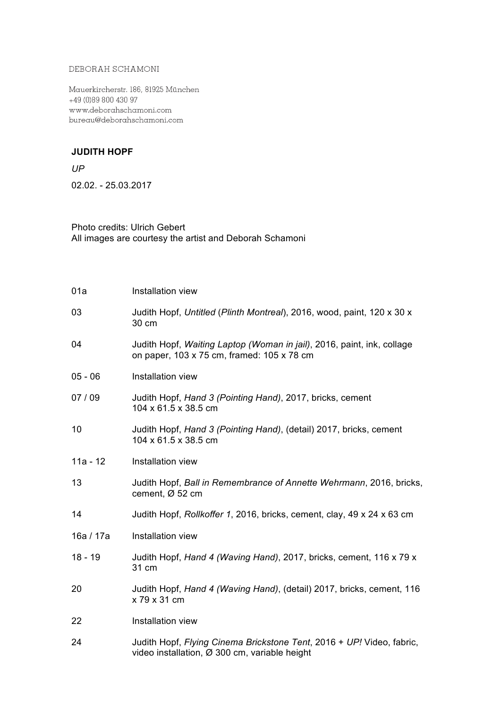## DEBORAH SCHAMONI

Mauerkircherstr. 186, 81925 München +49 (0)89 800 430 97 www.deborahschamoni.com bureau@deborahschamoni.com

## **JUDITH HOPF**

*UP* 02.02. - 25.03.2017

## Photo credits: Ulrich Gebert All images are courtesy the artist and Deborah Schamoni

| 01a        | Installation view                                                                                                      |
|------------|------------------------------------------------------------------------------------------------------------------------|
| 03         | Judith Hopf, Untitled (Plinth Montreal), 2016, wood, paint, 120 x 30 x<br>30 cm                                        |
| 04         | Judith Hopf, Waiting Laptop (Woman in jail), 2016, paint, ink, collage<br>on paper, 103 x 75 cm, framed: 105 x 78 cm   |
| $05 - 06$  | Installation view                                                                                                      |
| 07/09      | Judith Hopf, Hand 3 (Pointing Hand), 2017, bricks, cement<br>104 x 61.5 x 38.5 cm                                      |
| 10         | Judith Hopf, Hand 3 (Pointing Hand), (detail) 2017, bricks, cement<br>104 x 61.5 x 38.5 cm                             |
| $11a - 12$ | Installation view                                                                                                      |
| 13         | Judith Hopf, Ball in Remembrance of Annette Wehrmann, 2016, bricks,<br>cement, $\varnothing$ 52 cm                     |
| 14         | Judith Hopf, Rollkoffer 1, 2016, bricks, cement, clay, 49 x 24 x 63 cm                                                 |
| 16a / 17a  | Installation view                                                                                                      |
| $18 - 19$  | Judith Hopf, Hand 4 (Waving Hand), 2017, bricks, cement, 116 x 79 x<br>31 cm                                           |
| 20         | Judith Hopf, Hand 4 (Waving Hand), (detail) 2017, bricks, cement, 116<br>x 79 x 31 cm                                  |
| 22         | Installation view                                                                                                      |
| 24         | Judith Hopf, Flying Cinema Brickstone Tent, 2016 + UP! Video, fabric,<br>video installation, Ø 300 cm, variable height |